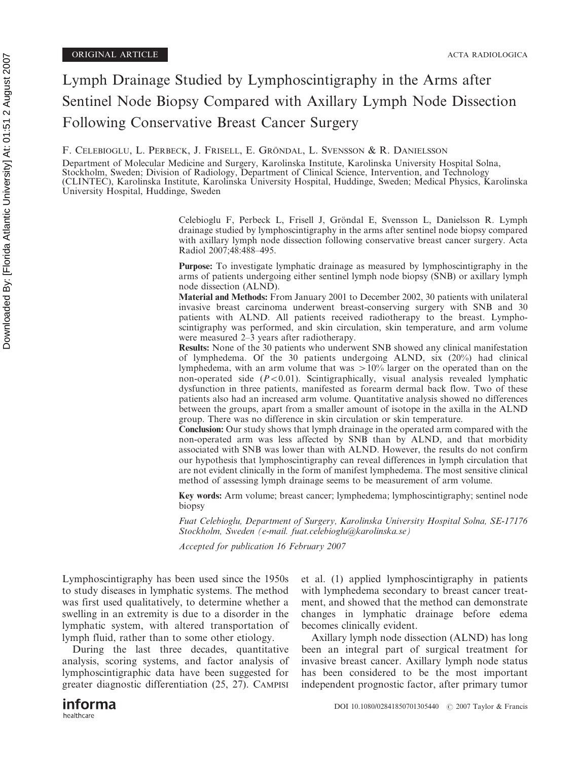# Lymph Drainage Studied by Lymphoscintigraphy in the Arms after Sentinel Node Biopsy Compared with Axillary Lymph Node Dissection Following Conservative Breast Cancer Surgery

F. CELEBIOGLU, L. PERBECK, J. FRISELL, E. GRÖNDAL, L. SVENSSON & R. DANIELSSON

Department of Molecular Medicine and Surgery, Karolinska Institute, Karolinska University Hospital Solna, Stockholm, Sweden; Division of Radiology, Department of Clinical Science, Intervention, and Technology (CLINTEC), Karolinska Institute, Karolinska University Hospital, Huddinge, Sweden; Medical Physics, Karolinska University Hospital, Huddinge, Sweden

> Celebioglu F, Perbeck L, Frisell J, Gröndal E, Svensson L, Danielsson R, Lymph drainage studied by lymphoscintigraphy in the arms after sentinel node biopsy compared with axillary lymph node dissection following conservative breast cancer surgery. Acta Radiol 2007;48:488–495.

> Purpose: To investigate lymphatic drainage as measured by lymphoscintigraphy in the arms of patients undergoing either sentinel lymph node biopsy (SNB) or axillary lymph node dissection (ALND).

> Material and Methods: From January 2001 to December 2002, 30 patients with unilateral invasive breast carcinoma underwent breast-conserving surgery with SNB and 30 patients with ALND. All patients received radiotherapy to the breast. Lymphoscintigraphy was performed, and skin circulation, skin temperature, and arm volume were measured 2–3 years after radiotherapy.

> Results: None of the 30 patients who underwent SNB showed any clinical manifestation of lymphedema. Of the 30 patients undergoing ALND, six (20%) had clinical lymphedema, with an arm volume that was  $>10\%$  larger on the operated than on the non-operated side  $(P<0.01)$ . Scintigraphically, visual analysis revealed lymphatic dysfunction in three patients, manifested as forearm dermal back flow. Two of these patients also had an increased arm volume. Quantitative analysis showed no differences between the groups, apart from a smaller amount of isotope in the axilla in the ALND group. There was no difference in skin circulation or skin temperature.

> Conclusion: Our study shows that lymph drainage in the operated arm compared with the non-operated arm was less affected by SNB than by ALND, and that morbidity associated with SNB was lower than with ALND. However, the results do not confirm our hypothesis that lymphoscintigraphy can reveal differences in lymph circulation that are not evident clinically in the form of manifest lymphedema. The most sensitive clinical method of assessing lymph drainage seems to be measurement of arm volume.

> Key words: Arm volume; breast cancer; lymphedema; lymphoscintigraphy; sentinel node biopsy

> Fuat Celebioglu, Department of Surgery, Karolinska University Hospital Solna, SE-17176 Stockholm, Sweden (e-mail. fuat.celebioglu@karolinska.se)

> > becomes clinically evident.

Accepted for publication 16 February 2007

Lymphoscintigraphy has been used since the 1950s to study diseases in lymphatic systems. The method was first used qualitatively, to determine whether a swelling in an extremity is due to a disorder in the lymphatic system, with altered transportation of lymph fluid, rather than to some other etiology.

During the last three decades, quantitative analysis, scoring systems, and factor analysis of lymphoscintigraphic data have been suggested for greater diagnostic differentiation (25, 27). CAMPISI et al. (1) applied lymphoscintigraphy in patients with lymphedema secondary to breast cancer treatment, and showed that the method can demonstrate changes in lymphatic drainage before edema

Axillary lymph node dissection (ALND) has long been an integral part of surgical treatment for invasive breast cancer. Axillary lymph node status has been considered to be the most important independent prognostic factor, after primary tumor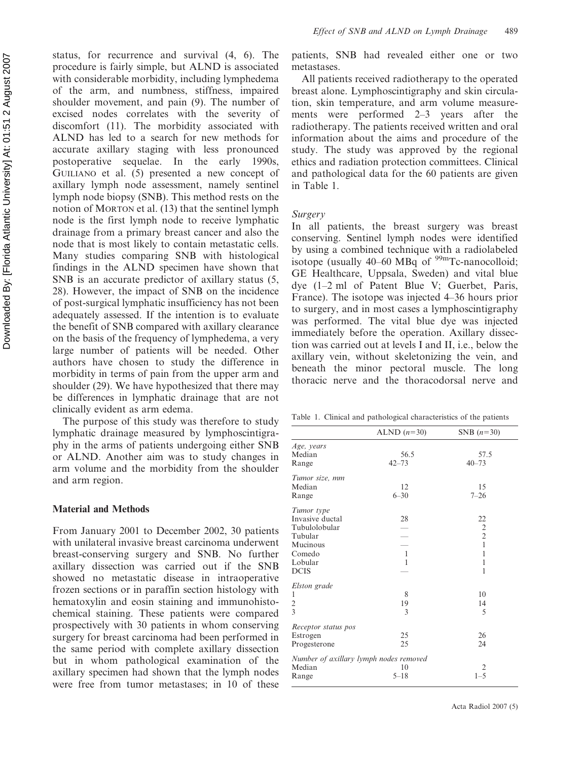status, for recurrence and survival (4, 6). The procedure is fairly simple, but ALND is associated with considerable morbidity, including lymphedema of the arm, and numbness, stiffness, impaired shoulder movement, and pain (9). The number of excised nodes correlates with the severity of discomfort (11). The morbidity associated with ALND has led to a search for new methods for accurate axillary staging with less pronounced postoperative sequelae. In the early 1990s, GUILIANO et al. (5) presented a new concept of axillary lymph node assessment, namely sentinel lymph node biopsy (SNB). This method rests on the notion of MORTON et al. (13) that the sentinel lymph node is the first lymph node to receive lymphatic drainage from a primary breast cancer and also the node that is most likely to contain metastatic cells. Many studies comparing SNB with histological findings in the ALND specimen have shown that SNB is an accurate predictor of axillary status (5, 28). However, the impact of SNB on the incidence of post-surgical lymphatic insufficiency has not been adequately assessed. If the intention is to evaluate the benefit of SNB compared with axillary clearance on the basis of the frequency of lymphedema, a very large number of patients will be needed. Other authors have chosen to study the difference in morbidity in terms of pain from the upper arm and shoulder (29). We have hypothesized that there may be differences in lymphatic drainage that are not clinically evident as arm edema.

The purpose of this study was therefore to study lymphatic drainage measured by lymphoscintigraphy in the arms of patients undergoing either SNB or ALND. Another aim was to study changes in arm volume and the morbidity from the shoulder and arm region.

#### Material and Methods

From January 2001 to December 2002, 30 patients with unilateral invasive breast carcinoma underwent breast-conserving surgery and SNB. No further axillary dissection was carried out if the SNB showed no metastatic disease in intraoperative frozen sections or in paraffin section histology with hematoxylin and eosin staining and immunohistochemical staining. These patients were compared prospectively with 30 patients in whom conserving surgery for breast carcinoma had been performed in the same period with complete axillary dissection but in whom pathological examination of the axillary specimen had shown that the lymph nodes were free from tumor metastases; in 10 of these patients, SNB had revealed either one or two metastases.

All patients received radiotherapy to the operated breast alone. Lymphoscintigraphy and skin circulation, skin temperature, and arm volume measurements were performed 2–3 years after the radiotherapy. The patients received written and oral information about the aims and procedure of the study. The study was approved by the regional ethics and radiation protection committees. Clinical and pathological data for the 60 patients are given in Table 1.

## Surgery

In all patients, the breast surgery was breast conserving. Sentinel lymph nodes were identified by using a combined technique with a radiolabeled isotope (usually  $40-60$  MBq of  $99$ mTc-nanocolloid; GE Healthcare, Uppsala, Sweden) and vital blue dye (1–2 ml of Patent Blue V; Guerbet, Paris, France). The isotope was injected 4–36 hours prior to surgery, and in most cases a lymphoscintigraphy was performed. The vital blue dye was injected immediately before the operation. Axillary dissection was carried out at levels I and II, i.e., below the axillary vein, without skeletonizing the vein, and beneath the minor pectoral muscle. The long thoracic nerve and the thoracodorsal nerve and

Table 1. Clinical and pathological characteristics of the patients

|                                        | ALND $(n=30)$ | SNB $(n=30)$   |
|----------------------------------------|---------------|----------------|
| Age, years                             |               |                |
| Median                                 | 56.5          | 57.5           |
| Range                                  | $42 - 73$     | $40 - 73$      |
| Tumor size, mm                         |               |                |
| Median                                 | 12            | 15             |
| Range                                  | $6 - 30$      | $7 - 26$       |
| Tumor type                             |               |                |
| Invasive ductal                        | 28            | 22             |
| Tubulolobular                          |               |                |
| Tubular                                |               | $\frac{2}{2}$  |
| Mucinous                               |               | $\mathbf{1}$   |
| Comedo                                 | $\mathbf{1}$  | 1              |
| Lobular                                | $\mathbf{1}$  | 1              |
| <b>DCIS</b>                            |               | 1              |
| Elston grade                           |               |                |
| 1                                      | 8             | 10             |
| $\overline{c}$                         | 19            | 14             |
| 3                                      | 3             | 5              |
| Receptor status pos                    |               |                |
| Estrogen                               | 25            | 26             |
| Progesterone                           | 25            | 24             |
| Number of axillary lymph nodes removed |               |                |
| Median                                 | 10            | $\overline{2}$ |
| Range                                  | $5 - 18$      | $1 - 5$        |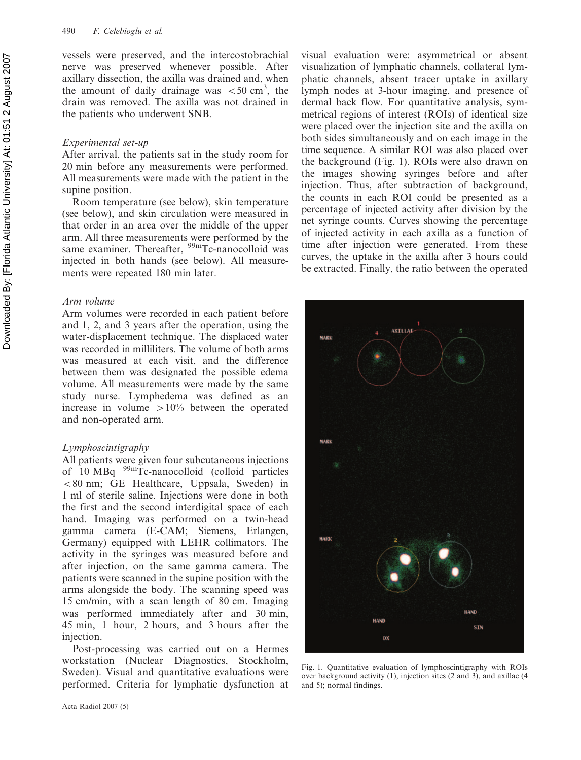vessels were preserved, and the intercostobrachial nerve was preserved whenever possible. After axillary dissection, the axilla was drained and, when the amount of daily drainage was  $\lt 50$  cm<sup>3</sup>, the drain was removed. The axilla was not drained in the patients who underwent SNB.

### Experimental set-up

After arrival, the patients sat in the study room for 20 min before any measurements were performed. All measurements were made with the patient in the supine position.

Room temperature (see below), skin temperature (see below), and skin circulation were measured in that order in an area over the middle of the upper arm. All three measurements were performed by the same examiner. Thereafter, <sup>99m</sup>Tc-nanocolloid was injected in both hands (see below). All measurements were repeated 180 min later.

## Arm volume

Arm volumes were recorded in each patient before and 1, 2, and 3 years after the operation, using the water-displacement technique. The displaced water was recorded in milliliters. The volume of both arms was measured at each visit, and the difference between them was designated the possible edema volume. All measurements were made by the same study nurse. Lymphedema was defined as an increase in volume  $>10\%$  between the operated and non-operated arm.

# Lymphoscintigraphy

All patients were given four subcutaneous injections of  $10 \text{ MBq}$   $99 \text{ m}$ Tc-nanocolloid (colloid particles  $\leq 80$  nm; GE Healthcare, Uppsala, Sweden) in 1 ml of sterile saline. Injections were done in both the first and the second interdigital space of each hand. Imaging was performed on a twin-head gamma camera (E-CAM; Siemens, Erlangen, Germany) equipped with LEHR collimators. The activity in the syringes was measured before and after injection, on the same gamma camera. The patients were scanned in the supine position with the arms alongside the body. The scanning speed was 15 cm/min, with a scan length of 80 cm. Imaging was performed immediately after and 30 min, 45 min, 1 hour, 2 hours, and 3 hours after the injection.

Post-processing was carried out on a Hermes workstation (Nuclear Diagnostics, Stockholm, Sweden). Visual and quantitative evaluations were performed. Criteria for lymphatic dysfunction at

Acta Radiol 2007 (5)

visual evaluation were: asymmetrical or absent visualization of lymphatic channels, collateral lymphatic channels, absent tracer uptake in axillary lymph nodes at 3-hour imaging, and presence of dermal back flow. For quantitative analysis, symmetrical regions of interest (ROIs) of identical size were placed over the injection site and the axilla on both sides simultaneously and on each image in the time sequence. A similar ROI was also placed over the background (Fig. 1). ROIs were also drawn on the images showing syringes before and after injection. Thus, after subtraction of background, the counts in each ROI could be presented as a percentage of injected activity after division by the net syringe counts. Curves showing the percentage of injected activity in each axilla as a function of time after injection were generated. From these curves, the uptake in the axilla after 3 hours could be extracted. Finally, the ratio between the operated



Fig. 1. Quantitative evaluation of lymphoscintigraphy with ROIs over background activity (1), injection sites (2 and 3), and axillae (4 and 5); normal findings.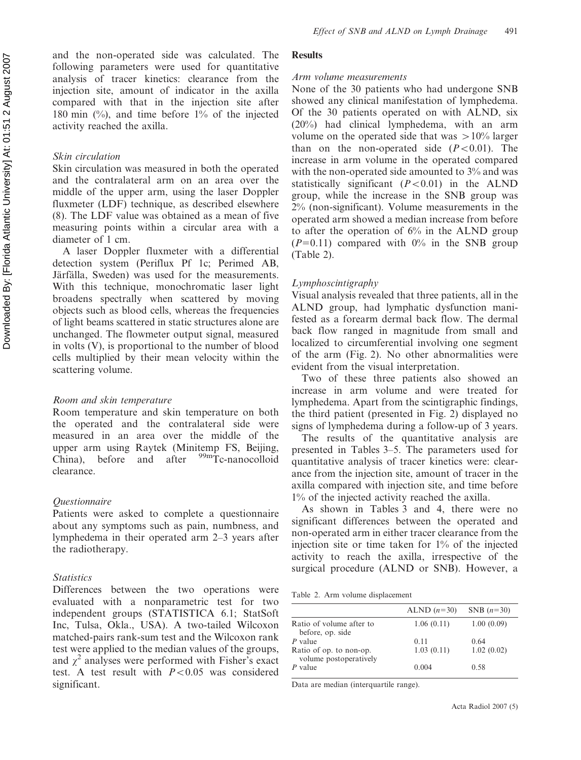and the non-operated side was calculated. The following parameters were used for quantitative analysis of tracer kinetics: clearance from the injection site, amount of indicator in the axilla compared with that in the injection site after 180 min (%), and time before 1% of the injected activity reached the axilla.

# Skin circulation

Skin circulation was measured in both the operated and the contralateral arm on an area over the middle of the upper arm, using the laser Doppler fluxmeter (LDF) technique, as described elsewhere (8). The LDF value was obtained as a mean of five measuring points within a circular area with a diameter of 1 cm.

A laser Doppler fluxmeter with a differential detection system (Periflux Pf 1c; Perimed AB, Järfälla, Sweden) was used for the measurements. With this technique, monochromatic laser light broadens spectrally when scattered by moving objects such as blood cells, whereas the frequencies of light beams scattered in static structures alone are unchanged. The flowmeter output signal, measured in volts (V), is proportional to the number of blood cells multiplied by their mean velocity within the scattering volume.

# Room and skin temperature

Room temperature and skin temperature on both the operated and the contralateral side were measured in an area over the middle of the upper arm using Raytek (Minitemp FS, Beijing,  $China$ ), before and after  $99m$ Tc-nanocolloid clearance.

# Questionnaire

Patients were asked to complete a questionnaire about any symptoms such as pain, numbness, and lymphedema in their operated arm 2–3 years after the radiotherapy.

# **Statistics**

Differences between the two operations were evaluated with a nonparametric test for two independent groups (STATISTICA 6.1; StatSoft Inc, Tulsa, Okla., USA). A two-tailed Wilcoxon matched-pairs rank-sum test and the Wilcoxon rank test were applied to the median values of the groups, and  $\gamma^2$  analyses were performed with Fisher's exact test. A test result with  $P < 0.05$  was considered significant.

## **Results**

# Arm volume measurements

None of the 30 patients who had undergone SNB showed any clinical manifestation of lymphedema. Of the 30 patients operated on with ALND, six (20%) had clinical lymphedema, with an arm volume on the operated side that was  $>10\%$  larger than on the non-operated side  $(P<0.01)$ . The increase in arm volume in the operated compared with the non-operated side amounted to 3% and was statistically significant  $(P<0.01)$  in the ALND group, while the increase in the SNB group was 2% (non-significant). Volume measurements in the operated arm showed a median increase from before to after the operation of 6% in the ALND group  $(P=0.11)$  compared with 0% in the SNB group (Table 2).

# Lymphoscintigraphy

Visual analysis revealed that three patients, all in the ALND group, had lymphatic dysfunction manifested as a forearm dermal back flow. The dermal back flow ranged in magnitude from small and localized to circumferential involving one segment of the arm (Fig. 2). No other abnormalities were evident from the visual interpretation.

Two of these three patients also showed an increase in arm volume and were treated for lymphedema. Apart from the scintigraphic findings, the third patient (presented in Fig. 2) displayed no signs of lymphedema during a follow-up of 3 years.

The results of the quantitative analysis are presented in Tables 3–5. The parameters used for quantitative analysis of tracer kinetics were: clearance from the injection site, amount of tracer in the axilla compared with injection site, and time before 1% of the injected activity reached the axilla.

As shown in Tables 3 and 4, there were no significant differences between the operated and non-operated arm in either tracer clearance from the injection site or time taken for 1% of the injected activity to reach the axilla, irrespective of the surgical procedure (ALND or SNB). However, a

Table 2. Arm volume displacement

|                                                   | ALND $(n=30)$ | SNB $(n=30)$ |
|---------------------------------------------------|---------------|--------------|
| Ratio of volume after to<br>before, op. side      | 1.06(0.11)    | 1.00(0.09)   |
| $P$ value                                         | 0.11          | 0.64         |
| Ratio of op. to non-op.<br>volume postoperatively | 1.03(0.11)    | 1.02(0.02)   |
| $P$ value                                         | 0.004         | 0.58         |

Data are median (interquartile range).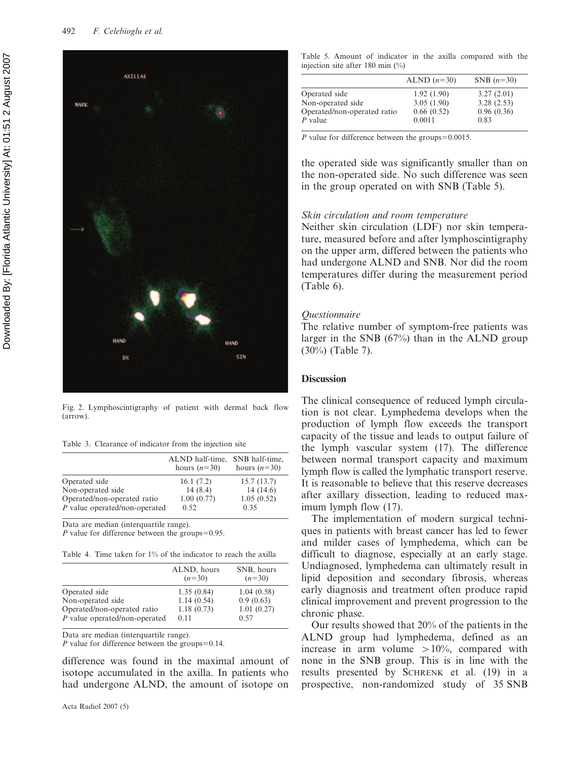

Fig. 2. Lymphoscintigraphy of patient with dermal back flow (arrow).

Table 3. Clearance of indicator from the injection site

|                                 | ALND half-time,<br>hours $(n=30)$ | SNB half-time,<br>hours $(n=30)$ |
|---------------------------------|-----------------------------------|----------------------------------|
| Operated side                   | 16.1(7.2)                         | 15.7(13.7)                       |
| Non-operated side               | 14(8.4)                           | 14(14.6)                         |
| Operated/non-operated ratio     | 1.00(0.77)                        | 1.05(0.52)                       |
| $P$ value operated/non-operated | 0.52                              | 0.35                             |

Data are median (interquartile range).

P value for difference between the groups= $0.95$ .

Table 4. Time taken for 1% of the indicator to reach the axilla

| ALND, hours | SNB, hours |
|-------------|------------|
| $(n=30)$    | $(n=30)$   |
| 1.35(0.84)  | 1.04(0.58) |
| 1.14(0.54)  | 0.9(0.63)  |
| 1.18(0.73)  | 1.01(0.27) |
| 0.11        | 0.57       |
|             |            |

Data are median (interquartile range).

P value for difference between the groups= $0.14$ .

difference was found in the maximal amount of isotope accumulated in the axilla. In patients who had undergone ALND, the amount of isotope on

|  |  |                                     |  | Table 5. Amount of indicator in the axilla compared with the |  |
|--|--|-------------------------------------|--|--------------------------------------------------------------|--|
|  |  | injection site after 180 min $(\%)$ |  |                                                              |  |

|                             | ALND $(n=30)$ | SNB $(n=30)$ |
|-----------------------------|---------------|--------------|
| Operated side               | 1.92(1.90)    | 3.27(2.01)   |
| Non-operated side           | 3.05(1.90)    | 3.28(2.53)   |
| Operated/non-operated ratio | 0.66(0.52)    | 0.96(0.36)   |
| $P$ value                   | 0.0011        | 0.83         |
|                             |               |              |

P value for difference between the groups= $0.0015$ .

the operated side was significantly smaller than on the non-operated side. No such difference was seen in the group operated on with SNB (Table 5).

#### Skin circulation and room temperature

Neither skin circulation (LDF) nor skin temperature, measured before and after lymphoscintigraphy on the upper arm, differed between the patients who had undergone ALND and SNB. Nor did the room temperatures differ during the measurement period (Table 6).

#### Questionnaire

The relative number of symptom-free patients was larger in the SNB (67%) than in the ALND group (30%) (Table 7).

#### **Discussion**

The clinical consequence of reduced lymph circulation is not clear. Lymphedema develops when the production of lymph flow exceeds the transport capacity of the tissue and leads to output failure of the lymph vascular system (17). The difference between normal transport capacity and maximum lymph flow is called the lymphatic transport reserve. It is reasonable to believe that this reserve decreases after axillary dissection, leading to reduced maximum lymph flow (17).

The implementation of modern surgical techniques in patients with breast cancer has led to fewer and milder cases of lymphedema, which can be difficult to diagnose, especially at an early stage. Undiagnosed, lymphedema can ultimately result in lipid deposition and secondary fibrosis, whereas early diagnosis and treatment often produce rapid clinical improvement and prevent progression to the chronic phase.

Our results showed that 20% of the patients in the ALND group had lymphedema, defined as an increase in arm volume  $>10\%$ , compared with none in the SNB group. This is in line with the results presented by SCHRENK et al. (19) in a prospective, non-randomized study of 35 SNB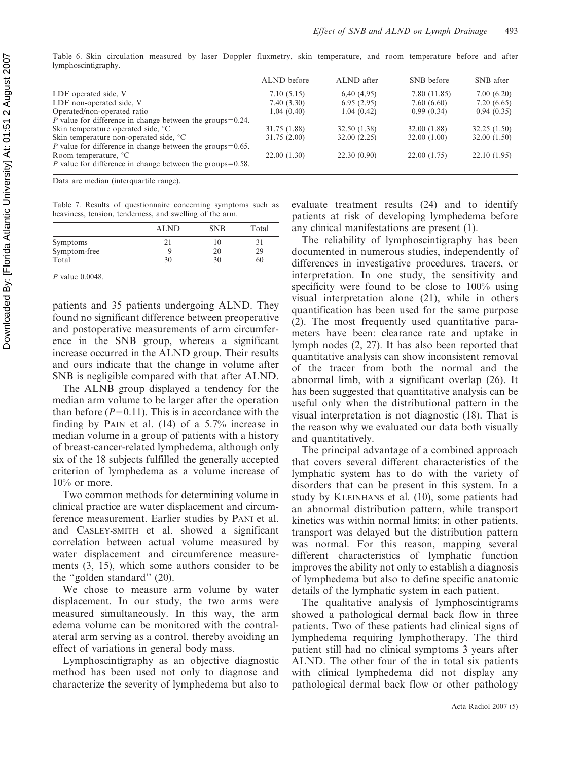|                                                                      | ALND before  | ALND after   | SNB before   | SNB after   |
|----------------------------------------------------------------------|--------------|--------------|--------------|-------------|
| LDF operated side, V                                                 | 7.10(5.15)   | 6,40(4,95)   | 7.80 (11.85) | 7.00(6.20)  |
| LDF non-operated side, V                                             | 7.40(3.30)   | 6.95(2.95)   | 7.60(6.60)   | 7.20(6.65)  |
| Operated/non-operated ratio                                          | 1.04(0.40)   | 1.04(0.42)   | 0.99(0.34)   | 0.94(0.35)  |
| <i>P</i> value for difference in change between the groups= $0.24$ . |              |              |              |             |
| Skin temperature operated side, °C                                   | 31.75 (1.88) | 32.50 (1.38) | 32.00 (1.88) | 32.25(1.50) |
| Skin temperature non-operated side, °C                               | 31.75(2.00)  | 32.00(2.25)  | 32.00(1.00)  | 32.00(1.50) |
| <i>P</i> value for difference in change between the groups= $0.65$ . |              |              |              |             |
| Room temperature, $\degree$ C                                        | 22.00(1.30)  | 22.30(0.90)  | 22.00(1.75)  | 22.10(1.95) |
| <i>P</i> value for difference in change between the groups= $0.58$ . |              |              |              |             |
|                                                                      |              |              |              |             |

Table 6. Skin circulation measured by laser Doppler fluxmetry, skin temperature, and room temperature before and after lymphoscintigraphy.

Data are median (interquartile range).

Table 7. Results of questionnaire concerning symptoms such as heaviness, tension, tenderness, and swelling of the arm.

|                 | <b>ALND</b> | <b>SNB</b> | Total |
|-----------------|-------------|------------|-------|
| <b>Symptoms</b> | 21          | 10         | 31    |
| Symptom-free    |             | 20         | 29    |
| Total           | 30          | 30         | 60    |

P value 0.0048.

patients and 35 patients undergoing ALND. They found no significant difference between preoperative and postoperative measurements of arm circumference in the SNB group, whereas a significant increase occurred in the ALND group. Their results and ours indicate that the change in volume after SNB is negligible compared with that after ALND.

The ALNB group displayed a tendency for the median arm volume to be larger after the operation than before  $(P=0.11)$ . This is in accordance with the finding by PAIN et al. (14) of a 5.7% increase in median volume in a group of patients with a history of breast-cancer-related lymphedema, although only six of the 18 subjects fulfilled the generally accepted criterion of lymphedema as a volume increase of  $10\%$  or more.

Two common methods for determining volume in clinical practice are water displacement and circumference measurement. Earlier studies by PANI et al. and CASLEY-SMITH et al. showed a significant correlation between actual volume measured by water displacement and circumference measurements (3, 15), which some authors consider to be the ''golden standard'' (20).

We chose to measure arm volume by water displacement. In our study, the two arms were measured simultaneously. In this way, the arm edema volume can be monitored with the contralateral arm serving as a control, thereby avoiding an effect of variations in general body mass.

Lymphoscintigraphy as an objective diagnostic method has been used not only to diagnose and characterize the severity of lymphedema but also to evaluate treatment results (24) and to identify patients at risk of developing lymphedema before any clinical manifestations are present (1).

The reliability of lymphoscintigraphy has been documented in numerous studies, independently of differences in investigative procedures, tracers, or interpretation. In one study, the sensitivity and specificity were found to be close to 100% using visual interpretation alone (21), while in others quantification has been used for the same purpose (2). The most frequently used quantitative parameters have been: clearance rate and uptake in lymph nodes (2, 27). It has also been reported that quantitative analysis can show inconsistent removal of the tracer from both the normal and the abnormal limb, with a significant overlap (26). It has been suggested that quantitative analysis can be useful only when the distributional pattern in the visual interpretation is not diagnostic (18). That is the reason why we evaluated our data both visually and quantitatively.

The principal advantage of a combined approach that covers several different characteristics of the lymphatic system has to do with the variety of disorders that can be present in this system. In a study by KLEINHANS et al. (10), some patients had an abnormal distribution pattern, while transport kinetics was within normal limits; in other patients, transport was delayed but the distribution pattern was normal. For this reason, mapping several different characteristics of lymphatic function improves the ability not only to establish a diagnosis of lymphedema but also to define specific anatomic details of the lymphatic system in each patient.

The qualitative analysis of lymphoscintigrams showed a pathological dermal back flow in three patients. Two of these patients had clinical signs of lymphedema requiring lymphotherapy. The third patient still had no clinical symptoms 3 years after ALND. The other four of the in total six patients with clinical lymphedema did not display any pathological dermal back flow or other pathology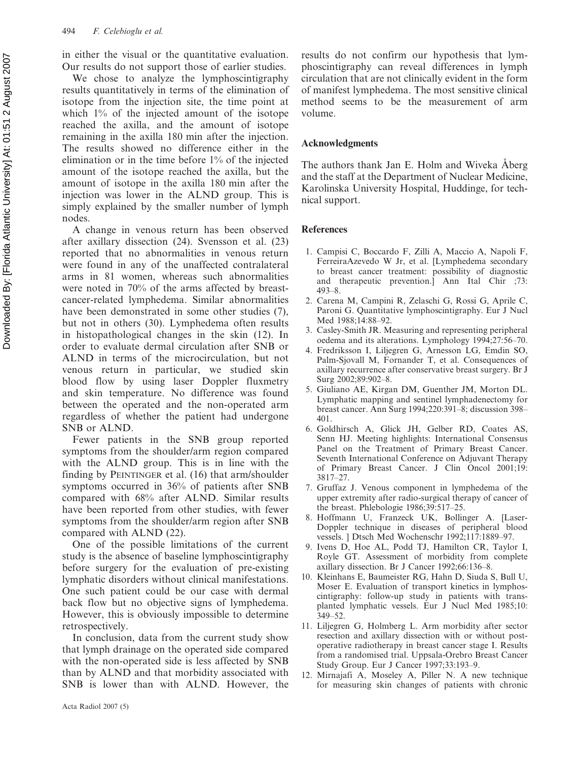in either the visual or the quantitative evaluation. Our results do not support those of earlier studies.

We chose to analyze the lymphoscintigraphy results quantitatively in terms of the elimination of isotope from the injection site, the time point at which 1% of the injected amount of the isotope reached the axilla, and the amount of isotope remaining in the axilla 180 min after the injection. The results showed no difference either in the elimination or in the time before 1% of the injected amount of the isotope reached the axilla, but the amount of isotope in the axilla 180 min after the injection was lower in the ALND group. This is simply explained by the smaller number of lymph nodes.

A change in venous return has been observed after axillary dissection (24). Svensson et al. (23) reported that no abnormalities in venous return were found in any of the unaffected contralateral arms in 81 women, whereas such abnormalities were noted in 70% of the arms affected by breastcancer-related lymphedema. Similar abnormalities have been demonstrated in some other studies (7), but not in others (30). Lymphedema often results in histopathological changes in the skin (12). In order to evaluate dermal circulation after SNB or ALND in terms of the microcirculation, but not venous return in particular, we studied skin blood flow by using laser Doppler fluxmetry and skin temperature. No difference was found between the operated and the non-operated arm regardless of whether the patient had undergone SNB or ALND.

Fewer patients in the SNB group reported symptoms from the shoulder/arm region compared with the ALND group. This is in line with the finding by PEINTINGER et al. (16) that arm/shoulder symptoms occurred in 36% of patients after SNB compared with 68% after ALND. Similar results have been reported from other studies, with fewer symptoms from the shoulder/arm region after SNB compared with ALND (22).

One of the possible limitations of the current study is the absence of baseline lymphoscintigraphy before surgery for the evaluation of pre-existing lymphatic disorders without clinical manifestations. One such patient could be our case with dermal back flow but no objective signs of lymphedema. However, this is obviously impossible to determine retrospectively.

In conclusion, data from the current study show that lymph drainage on the operated side compared with the non-operated side is less affected by SNB than by ALND and that morbidity associated with SNB is lower than with ALND. However, the results do not confirm our hypothesis that lymphoscintigraphy can reveal differences in lymph circulation that are not clinically evident in the form of manifest lymphedema. The most sensitive clinical method seems to be the measurement of arm volume.

### Acknowledgments

The authors thank Jan E. Holm and Wiveka Åberg and the staff at the Department of Nuclear Medicine, Karolinska University Hospital, Huddinge, for technical support.

### References

- 1. Campisi C, Boccardo F, Zilli A, Maccio A, Napoli F, FerreiraAzevedo W Jr, et al. [Lymphedema secondary to breast cancer treatment: possibility of diagnostic and therapeutic prevention.] Ann Ital Chir ;73: 493–8.
- 2. Carena M, Campini R, Zelaschi G, Rossi G, Aprile C, Paroni G. Quantitative lymphoscintigraphy. Eur J Nucl Med 1988;14:88–92.
- 3. Casley-Smith JR. Measuring and representing peripheral oedema and its alterations. Lymphology 1994;27:56–70.
- 4. Fredriksson I, Liljegren G, Arnesson LG, Emdin SO, Palm-Sjovall M, Fornander T, et al. Consequences of axillary recurrence after conservative breast surgery. Br J Surg 2002;89:902–8.
- 5. Giuliano AE, Kirgan DM, Guenther JM, Morton DL. Lymphatic mapping and sentinel lymphadenectomy for breast cancer. Ann Surg 1994;220:391–8; discussion 398– 401.
- 6. Goldhirsch A, Glick JH, Gelber RD, Coates AS, Senn HJ. Meeting highlights: International Consensus Panel on the Treatment of Primary Breast Cancer. Seventh International Conference on Adjuvant Therapy of Primary Breast Cancer. J Clin Oncol 2001;19: 3817–27.
- 7. Gruffaz J. Venous component in lymphedema of the upper extremity after radio-surgical therapy of cancer of the breast. Phlebologie 1986;39:517–25.
- 8. Hoffmann U, Franzeck UK, Bollinger A. [Laser-Doppler technique in diseases of peripheral blood vessels. ] Dtsch Med Wochenschr 1992;117:1889–97.
- 9. Ivens D, Hoe AL, Podd TJ, Hamilton CR, Taylor I, Royle GT. Assessment of morbidity from complete axillary dissection. Br J Cancer 1992;66:136–8.
- 10. Kleinhans E, Baumeister RG, Hahn D, Siuda S, Bull U, Moser E. Evaluation of transport kinetics in lymphoscintigraphy: follow-up study in patients with transplanted lymphatic vessels. Eur J Nucl Med 1985;10: 349–52.
- 11. Liljegren G, Holmberg L. Arm morbidity after sector resection and axillary dissection with or without postoperative radiotherapy in breast cancer stage I. Results from a randomised trial. Uppsala-Orebro Breast Cancer Study Group. Eur J Cancer 1997;33:193–9.
- 12. Mirnajafi A, Moseley A, Piller N. A new technique for measuring skin changes of patients with chronic